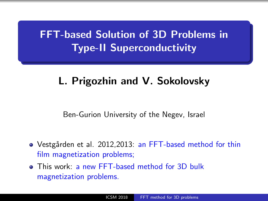# <span id="page-0-0"></span>FFT-based Solution of 3D Problems in Type-II Superconductivity

# L. Prigozhin and V. Sokolovsky

Ben-Gurion University of the Negev, Israel

- Vestgården et al. 2012,2013: an FFT-based method for thin film magnetization problems;
- **o** This work: a new FFT-based method for 3D bulk magnetization problems.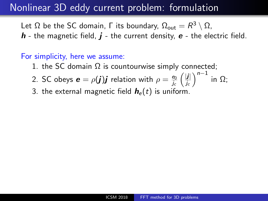#### Nonlinear 3D eddy current problem: formulation

Let  $\Omega$  be the SC domain,  $\Gamma$  its boundary,  $\Omega_{\text{out}} = R^3 \setminus \Omega$ ,

 $h$  - the magnetic field,  $j$  - the current density,  $e$  - the electric field.

#### For simplicity, here we assume:

- 1. the SC domain  $\Omega$  is countourwise simply connected;
- 2. SC obeys  $\boldsymbol{e} = \rho(\boldsymbol{j})\boldsymbol{j}$  relation with  $\rho = \frac{e_0}{l}$ e<sub>0</sub> (<mark>j|</mark><br>j<sub>c</sub> (j<sub>c</sub>  $\frac{|\bm{j}|}{j_c}\Big)^{n-1}$  in  $\Omega;$
- 3. the external magnetic field  $h_e(t)$  is uniform.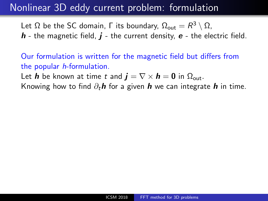#### Nonlinear 3D eddy current problem: formulation

Let  $\Omega$  be the SC domain,  $\Gamma$  its boundary,  $\Omega_{\text{out}} = R^3 \setminus \Omega$ ,  $h$  - the magnetic field,  $j$  - the current density,  $e$  - the electric field.

Our formulation is written for the magnetic field but differs from the popular h-formulation.

Let **h** be known at time t and  $\mathbf{j} = \nabla \times \mathbf{h} = \mathbf{0}$  in  $\Omega_{\text{out}}$ .

Knowing how to find  $\partial_t h$  for a given h we can integrate h in time.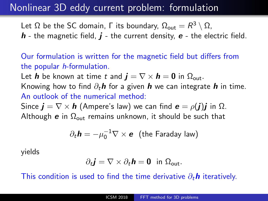#### Nonlinear 3D eddy current problem: formulation

Let  $\Omega$  be the SC domain,  $\Gamma$  its boundary,  $\Omega_{\text{out}} = R^3 \setminus \Omega$ ,  $h$  - the magnetic field,  $j$  - the current density,  $e$  - the electric field.

Our formulation is written for the magnetic field but differs from the popular h-formulation.

Let **h** be known at time t and  $\mathbf{i} = \nabla \times \mathbf{h} = \mathbf{0}$  in  $\Omega_{\text{out}}$ .

Knowing how to find  $\partial_t h$  for a given h we can integrate h in time. An outlook of the numerical method:

Since  $\mathbf{j} = \nabla \times \mathbf{h}$  (Ampere's law) we can find  $\mathbf{e} = \rho(\mathbf{j})\mathbf{j}$  in  $\Omega$ . Although e in  $\Omega_{\text{out}}$  remains unknown, it should be such that

$$
\partial_t \mathbf{h} = -\mu_0^{-1} \nabla \times \mathbf{e}
$$
 (the Faraday law)

yields

$$
\partial_t \mathbf{j} = \nabla \times \partial_t \mathbf{h} = \mathbf{0} \text{ in } \Omega_{\text{out}}.
$$

This condition is used to find the time derivative  $\partial_t \mathbf{h}$  iteratively.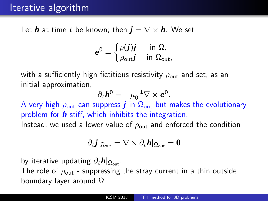## Iterative algorithm

Let **h** at time t be known; then  $\mathbf{i} = \nabla \times \mathbf{h}$ . We set

$$
\bm{e}^0 = \begin{cases} \rho(\bm{j})\bm{j} & \text{ in } \Omega, \\ \rho_{\sf out} \bm{j} & \text{ in } \Omega_{\sf out}, \end{cases}
$$

with a sufficiently high fictitious resistivity  $\rho_{\text{out}}$  and set, as an initial approximation,

$$
\partial_t \mathbf{h}^0 = -\mu_0^{-1} \nabla \times \mathbf{e}^0.
$$

A very high  $\rho_{\text{out}}$  can suppress **j** in  $\Omega_{\text{out}}$  but makes the evolutionary problem for  $\bm{h}$  stiff, which inhibits the integration. Instead, we used a lower value of  $\rho_{\text{out}}$  and enforced the condition

$$
\partial_{t}\bm{j}|_{\Omega_{\text{out}}}=\nabla\times\partial_{t}\bm{h}|_{\Omega_{\text{out}}}=\bm{0}
$$

by iterative updating  $\partial_t h|_{\Omega_{\text{out}}}$ .

The role of  $\rho_{\text{out}}$  - suppressing the stray current in a thin outside boundary layer around Ω.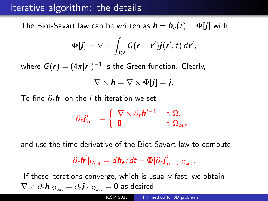## Iterative algorithm: the details

The Biot-Savart law can be written as  $\mathbf{h} = \mathbf{h}_e(t) + \mathbf{\Phi}[\mathbf{j}]$  with

$$
\Phi[\boldsymbol{j}] = \nabla \times \int_{R^3} G(\boldsymbol{r} - \boldsymbol{r}') \boldsymbol{j}(\boldsymbol{r}', t) d\boldsymbol{r}',
$$

where  $G(\bm{r})=(4\pi|\bm{r}|)^{-1}$  is the Green function. Clearly,

$$
\nabla \times \mathbf{h} = \nabla \times \mathbf{\Phi}[\mathbf{j}] = \mathbf{j}.
$$

To find  $\partial_t \mathbf{h}$ , on the *i*-th iteration we set

$$
\partial_t \mathbf{j}_{\text{in}}^{i-1} = \left\{ \begin{array}{ll} \nabla \times \partial_t \mathbf{h}^{i-1} & \text{in } \Omega, \\ \mathbf{0} & \text{in } \Omega_{\text{out}} \end{array} \right.
$$

and use the time derivative of the Biot-Savart law to compute

$$
\partial_t \boldsymbol{h}^i|_{\Omega_{\text{out}}} = d \boldsymbol{h}_e / dt + \boldsymbol{\Phi} [\partial_t \boldsymbol{j}_{\text{in}}^{i-1}]|_{\Omega_{\text{out}}}.
$$

If these iterations converge, which is usually fast, we obtain  $\nabla \times \partial_t \bm{h}|_{\Omega_\mathsf{out}} = \partial_t \bm{j}_{\mathsf{in}}|_{\Omega_\mathsf{out}} = \bm{0}$  as desired.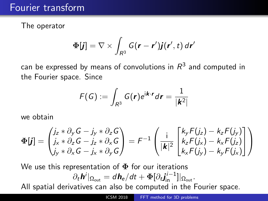#### Fourier transform

The operator

$$
\mathbf{\Phi}[\boldsymbol{j}] = \nabla \times \int_{R^3} G(\boldsymbol{r} - \boldsymbol{r}') \boldsymbol{j}(\boldsymbol{r}', t) d\boldsymbol{r}'
$$

can be expressed by means of convolutions in  $\mathcal{R}^3$  and computed in the Fourier space. Since

$$
F(G) := \int_{R^3} G(r)e^{i\mathbf{k}\cdot\mathbf{r}} d\mathbf{r} = \frac{1}{|\mathbf{k}^2|}
$$

we obtain

$$
\Phi[j] = \begin{pmatrix} j_z * \partial_y G - j_y * \partial_z G \\ j_x * \partial_z G - j_z * \partial_x G \\ j_y * \partial_x G - j_x * \partial_y G \end{pmatrix} = F^{-1} \begin{pmatrix} i \\ |k_z| \overline{R} \begin{bmatrix} k_y F(j_z) - k_z F(j_y) \\ k_z F(j_x) - k_x F(j_z) \\ k_x F(j_y) - k_y F(j_x) \end{bmatrix} \end{pmatrix}
$$

We use this representation of  $\Phi$  for our iterations  $\partial_t \bm{h}^i|_{\Omega_\mathrm{out}} = d \bm{h}_\mathrm{e} / dt + \bm{\Phi} [\partial_t \bm{j}_\mathrm{in}^{i-1}] |_{\Omega_\mathrm{out}}.$ All spatial derivatives can also be computed in the Fourier space.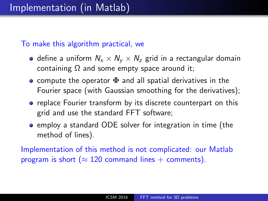To make this algorithm practical, we

- define a uniform  $N_x \times N_y \times N_z$  grid in a rectangular domain containing  $\Omega$  and some empty space around it;
- compute the operator  $\Phi$  and all spatial derivatives in the Fourier space (with Gaussian smoothing for the derivatives);
- replace Fourier transform by its discrete counterpart on this grid and use the standard FFT software;
- employ a standard ODE solver for integration in time (the method of lines).

Implementation of this method is not complicated: our Matlab program is short ( $\approx$  120 command lines + comments).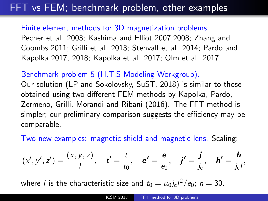# FFT vs FEM; benchmark problem, other examples

Finite element methods for 3D magnetization problems: Pecher et al. 2003; Kashima and Elliot 2007,2008; Zhang and Coombs 2011; Grilli et al. 2013; Stenvall et al. 2014; Pardo and Kapolka 2017, 2018; Kapolka et al. 2017; Olm et al. 2017, ...

Benchmark problem 5 (H.T.S Modeling Workgroup).

Our solution (LP and Sokolovsky, SuST, 2018) is similar to those obtained using two different FEM methods by Kapolka, Pardo, Zermeno, Grilli, Morandi and Ribani (2016). The FFT method is simpler; our preliminary comparison suggests the efficiency may be comparable.

Two new examples: magnetic shield and magnetic lens. Scaling:

$$
(x', y', z') = \frac{(x, y, z)}{l}, \quad t' = \frac{t}{t_0}, \quad e' = \frac{e}{e_0}, \quad j' = \frac{j}{j_c}, \quad h' = \frac{h}{j_c},
$$

where  $l$  is the characteristic size and  $t_0=\mu_0 j_\text{c} l^2/\text{e}_0;~n=30.$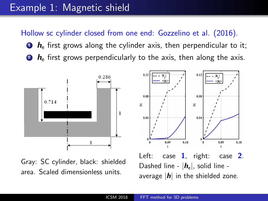## Example 1: Magnetic shield

Hollow sc cylinder closed from one end: Gozzelino et al. (2016).

- $\bullet$   $\mathbf{h}_{\mathsf{e}}$  first grows along the cylinder axis, then perpendicular to it;
- $\bullet$   $\bullet$  first grows perpendicularly to the axis, then along the axis.



Gray: SC cylinder, black: shielded area. Scaled dimensionless units.

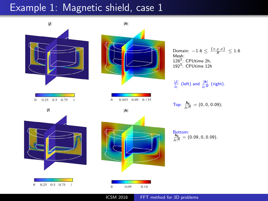## Example 1: Magnetic shield, case 1

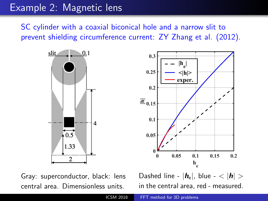# Example 2: Magnetic lens

SC cylinder with a coaxial biconical hole and a narrow slit to prevent shielding circumference current: ZY Zhang et al. (2012).



Gray: superconductor, black: lens central area. Dimensionless units.

Dashed line -  $|h_e|$ , blue -  $\langle |h| \rangle$ in the central area, red - measured.

 $0.15$ 

 $0.2$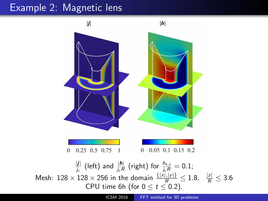# Example 2: Magnetic lens

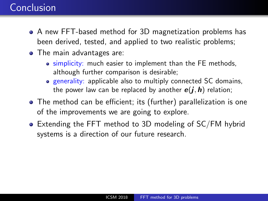# Conclusion

- A new FFT-based method for 3D magnetization problems has been derived, tested, and applied to two realistic problems;
- The main advantages are:
	- simplicity: much easier to implement than the FE methods, although further comparison is desirable;
	- **e** generality: applicable also to multiply connected SC domains, the power law can be replaced by another  $e(i, h)$  relation;
- The method can be efficient; its (further) parallelization is one of the improvements we are going to explore.
- Extending the FFT method to 3D modeling of SC/FM hybrid systems is a direction of our future research.